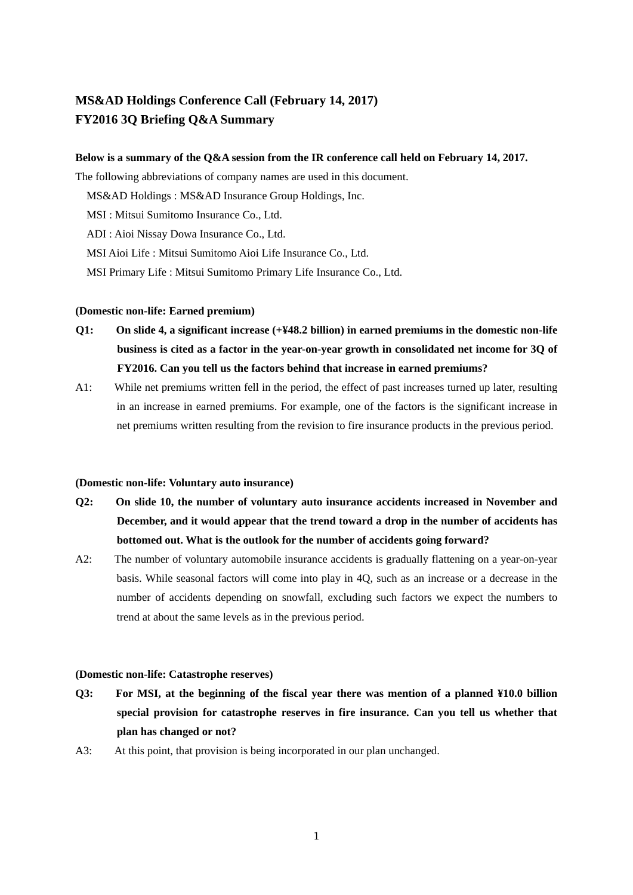# **MS&AD Holdings Conference Call (February 14, 2017) FY2016 3Q Briefing Q&A Summary**

## **Below is a summary of the Q&A session from the IR conference call held on February 14, 2017.**

The following abbreviations of company names are used in this document.

MS&AD Holdings : MS&AD Insurance Group Holdings, Inc.

MSI : Mitsui Sumitomo Insurance Co., Ltd.

ADI : Aioi Nissay Dowa Insurance Co., Ltd.

MSI Aioi Life : Mitsui Sumitomo Aioi Life Insurance Co., Ltd.

MSI Primary Life : Mitsui Sumitomo Primary Life Insurance Co., Ltd.

### **(Domestic non-life: Earned premium)**

- **Q1: On slide 4, a significant increase (+¥48.2 billion) in earned premiums in the domestic non-life business is cited as a factor in the year-on-year growth in consolidated net income for 3Q of FY2016. Can you tell us the factors behind that increase in earned premiums?**
- A1: While net premiums written fell in the period, the effect of past increases turned up later, resulting in an increase in earned premiums. For example, one of the factors is the significant increase in net premiums written resulting from the revision to fire insurance products in the previous period.

#### **(Domestic non-life: Voluntary auto insurance)**

- **Q2: On slide 10, the number of voluntary auto insurance accidents increased in November and December, and it would appear that the trend toward a drop in the number of accidents has bottomed out. What is the outlook for the number of accidents going forward?**
- A2: The number of voluntary automobile insurance accidents is gradually flattening on a year-on-year basis. While seasonal factors will come into play in 4Q, such as an increase or a decrease in the number of accidents depending on snowfall, excluding such factors we expect the numbers to trend at about the same levels as in the previous period.

### **(Domestic non-life: Catastrophe reserves)**

- **Q3: For MSI, at the beginning of the fiscal year there was mention of a planned ¥10.0 billion special provision for catastrophe reserves in fire insurance. Can you tell us whether that plan has changed or not?**
- A3: At this point, that provision is being incorporated in our plan unchanged.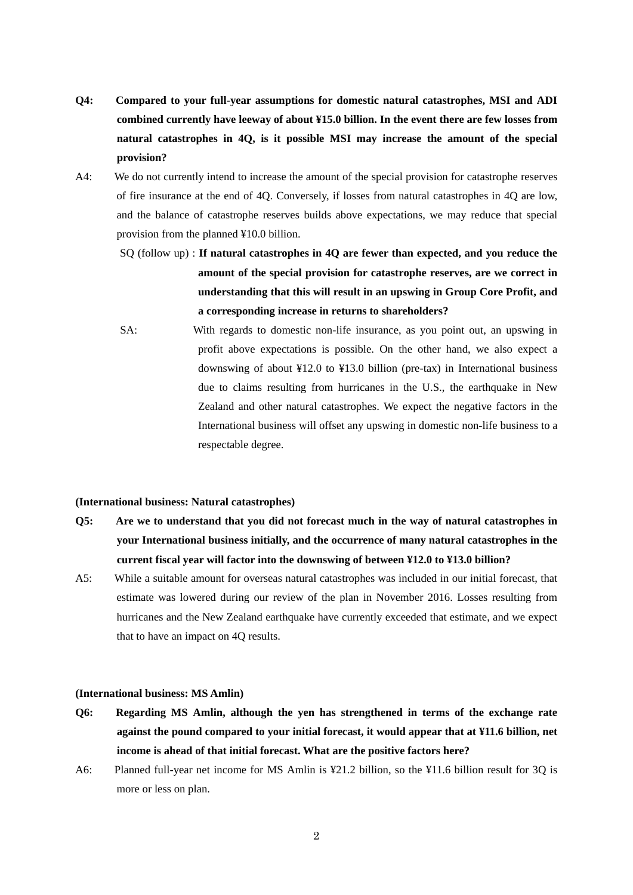- **Q4: Compared to your full-year assumptions for domestic natural catastrophes, MSI and ADI combined currently have leeway of about ¥15.0 billion. In the event there are few losses from natural catastrophes in 4Q, is it possible MSI may increase the amount of the special provision?**
- A4: We do not currently intend to increase the amount of the special provision for catastrophe reserves of fire insurance at the end of 4Q. Conversely, if losses from natural catastrophes in 4Q are low, and the balance of catastrophe reserves builds above expectations, we may reduce that special provision from the planned ¥10.0 billion.
	- SQ (follow up) : **If natural catastrophes in 4Q are fewer than expected, and you reduce the amount of the special provision for catastrophe reserves, are we correct in understanding that this will result in an upswing in Group Core Profit, and a corresponding increase in returns to shareholders?**
	- SA: With regards to domestic non-life insurance, as you point out, an upswing in profit above expectations is possible. On the other hand, we also expect a downswing of about ¥12.0 to ¥13.0 billion (pre-tax) in International business due to claims resulting from hurricanes in the U.S., the earthquake in New Zealand and other natural catastrophes. We expect the negative factors in the International business will offset any upswing in domestic non-life business to a respectable degree.

#### **(International business: Natural catastrophes)**

- **Q5: Are we to understand that you did not forecast much in the way of natural catastrophes in your International business initially, and the occurrence of many natural catastrophes in the current fiscal year will factor into the downswing of between ¥12.0 to ¥13.0 billion?**
- A5: While a suitable amount for overseas natural catastrophes was included in our initial forecast, that estimate was lowered during our review of the plan in November 2016. Losses resulting from hurricanes and the New Zealand earthquake have currently exceeded that estimate, and we expect that to have an impact on 4Q results.

### **(International business: MS Amlin)**

- **Q6: Regarding MS Amlin, although the yen has strengthened in terms of the exchange rate against the pound compared to your initial forecast, it would appear that at ¥11.6 billion, net income is ahead of that initial forecast. What are the positive factors here?**
- A6: Planned full-year net income for MS Amlin is ¥21.2 billion, so the ¥11.6 billion result for 3Q is more or less on plan.